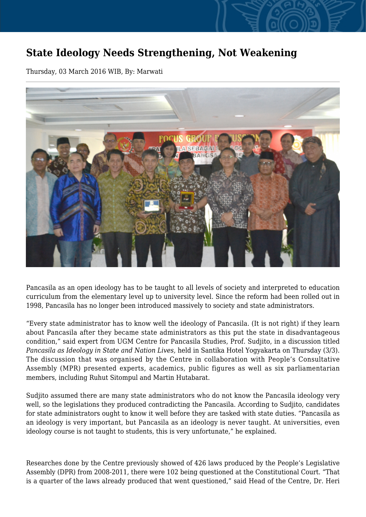## **State Ideology Needs Strengthening, Not Weakening**

Thursday, 03 March 2016 WIB, By: Marwati



Pancasila as an open ideology has to be taught to all levels of society and interpreted to education curriculum from the elementary level up to university level. Since the reform had been rolled out in 1998, Pancasila has no longer been introduced massively to society and state administrators.

"Every state administrator has to know well the ideology of Pancasila. (It is not right) if they learn about Pancasila after they became state administrators as this put the state in disadvantageous condition," said expert from UGM Centre for Pancasila Studies, Prof. Sudjito, in a discussion titled *Pancasila as Ideology in State and Nation Lives,* held in Santika Hotel Yogyakarta on Thursday (3/3). The discussion that was organised by the Centre in collaboration with People's Consultative Assembly (MPR) presented experts, academics, public figures as well as six parliamentarian members, including Ruhut Sitompul and Martin Hutabarat.

Sudjito assumed there are many state administrators who do not know the Pancasila ideology very well, so the legislations they produced contradicting the Pancasila. According to Sudjito, candidates for state administrators ought to know it well before they are tasked with state duties. "Pancasila as an ideology is very important, but Pancasila as an ideology is never taught. At universities, even ideology course is not taught to students, this is very unfortunate," he explained.

Researches done by the Centre previously showed of 426 laws produced by the People's Legislative Assembly (DPR) from 2008-2011, there were 102 being questioned at the Constitutional Court. "That is a quarter of the laws already produced that went questioned," said Head of the Centre, Dr. Heri